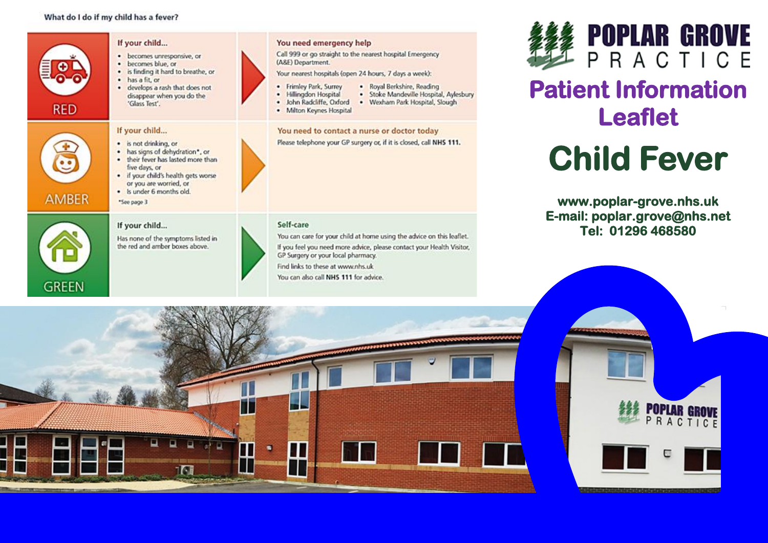#### What do I do if my child has a fever?







# **Patient Information Leaflet**

# **Child Fever**

**www.poplar-grove.nhs.uk E-mail: poplar.grove@nhs.net Tel: 01296 468580** 

**POPLAR GROVE**<br>PRACTICE